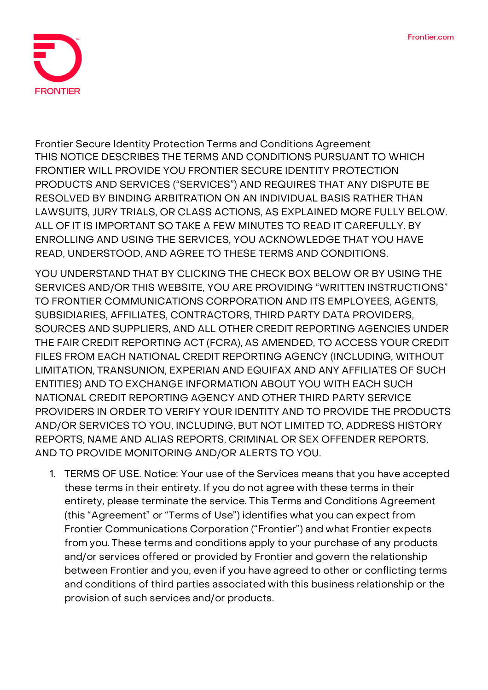

**Frontier Secure Identity Protection Terms and Conditions Agreement THIS NOTICE DESCRIBES THE TERMS AND CONDITIONS PURSUANT TO WHICH FRONTIER WILL PROVIDE YOU FRONTIER SECURE IDENTITY PROTECTION PRODUCTS AND SERVICES ("SERVICES") AND REQUIRES THAT ANY DISPUTE BE RESOLVED BY BINDING ARBITRATION ON AN INDIVIDUAL BASIS RATHER THAN LAWSUITS, JURY TRIALS, OR CLASS ACTIONS, AS EXPLAINED MORE FULLY BELOW. ALL OF IT IS IMPORTANT SO TAKE A FEW MINUTES TO READ IT CAREFULLY. BY ENROLLING AND USING THE SERVICES, YOU ACKNOWLEDGE THAT YOU HAVE READ, UNDERSTOOD, AND AGREE TO THESE TERMS AND CONDITIONS.**

**YOU UNDERSTAND THAT BY CLICKING THE CHECK BOX BELOW OR BY USING THE SERVICES AND/OR THIS WEBSITE, YOU ARE PROVIDING "WRITTEN INSTRUCTIONS" TO FRONTIER COMMUNICATIONS CORPORATION AND ITS EMPLOYEES, AGENTS, SUBSIDIARIES, AFFILIATES, CONTRACTORS, THIRD PARTY DATA PROVIDERS, SOURCES AND SUPPLIERS, AND ALL OTHER CREDIT REPORTING AGENCIES UNDER THE FAIR CREDIT REPORTING ACT (FCRA), AS AMENDED, TO ACCESS YOUR CREDIT FILES FROM EACH NATIONAL CREDIT REPORTING AGENCY (INCLUDING, WITHOUT LIMITATION, TRANSUNION, EXPERIAN AND EQUIFAX AND ANY AFFILIATES OF SUCH ENTITIES) AND TO EXCHANGE INFORMATION ABOUT YOU WITH EACH SUCH NATIONAL CREDIT REPORTING AGENCY AND OTHER THIRD PARTY SERVICE PROVIDERS IN ORDER TO VERIFY YOUR IDENTITY AND TO PROVIDE THE PRODUCTS AND/OR SERVICES TO YOU, INCLUDING, BUT NOT LIMITED TO, ADDRESS HISTORY REPORTS, NAME AND ALIAS REPORTS, CRIMINAL OR SEX OFFENDER REPORTS, AND TO PROVIDE MONITORING AND/OR ALERTS TO YOU.**

1. **TERMS OF USE.** Notice: Your use of the Services means that you have accepted these terms in their entirety. If you do not agree with these terms in their entirety, please terminate the service. This Terms and Conditions Agreement (this "Agreement" or "Terms of Use") identifies what you can expect from Frontier Communications Corporation ("Frontier") and what Frontier expects from you. These terms and conditions apply to your purchase of any products and/or services offered or provided by Frontier and govern the relationship between Frontier and you, even if you have agreed to other or conflicting terms and conditions of third parties associated with this business relationship or the provision of such services and/or products.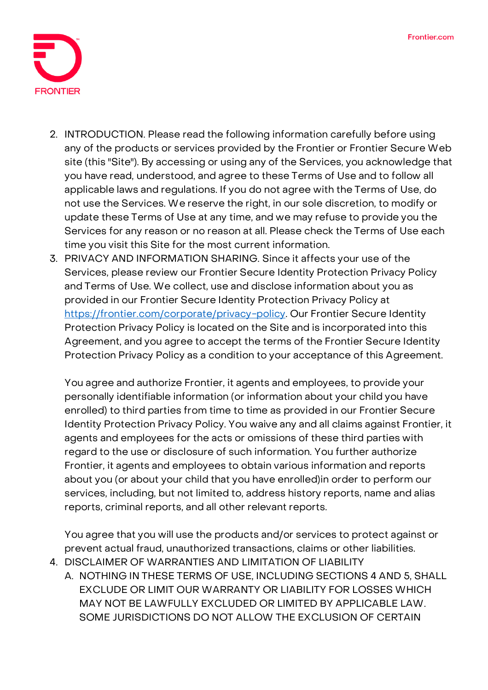

- 2. **INTRODUCTION.** Please read the following information carefully before using any of the products or services provided by the Frontier or Frontier Secure Web site (this "Site"). By accessing or using any of the Services, you acknowledge that you have read, understood, and agree to these Terms of Use and to follow all applicable laws and regulations. If you do not agree with the Terms of Use, do not use the Services. We reserve the right, in our sole discretion, to modify or update these Terms of Use at any time, and we may refuse to provide you the Services for any reason or no reason at all. Please check the Terms of Use each time you visit this Site for the most current information.
- 3. **PRIVACY AND INFORMATION SHARING.** Since it affects your use of the Services, please review our Frontier Secure Identity Protection Privacy Policy and Terms of Use. We collect, use and disclose information about you as provided in our Frontier Secure Identity Protection Privacy Policy at [https://frontier.com/corporate/privacy-policy.](https://frontier.com/corporate/privacy-policy) Our Frontier Secure Identity Protection Privacy Policy is located on the Site and is incorporated into this Agreement, and you agree to accept the terms of the Frontier Secure Identity Protection Privacy Policy as a condition to your acceptance of this Agreement.

You agree and authorize Frontier, it agents and employees, to provide your personally identifiable information (or information about your child you have enrolled) to third parties from time to time as provided in our Frontier Secure Identity Protection Privacy Policy. You waive any and all claims against Frontier, it agents and employees for the acts or omissions of these third parties with regard to the use or disclosure of such information. You further authorize Frontier, it agents and employees to obtain various information and reports about you (or about your child that you have enrolled)in order to perform our services, including, but not limited to, address history reports, name and alias reports, criminal reports, and all other relevant reports.

You agree that you will use the products and/or services to protect against or prevent actual fraud, unauthorized transactions, claims or other liabilities.

- **4. DISCLAIMER OF WARRANTIES AND LIMITATION OF LIABILITY**
	- A. NOTHING IN THESE TERMS OF USE, INCLUDING SECTIONS 4 AND 5, SHALL EXCLUDE OR LIMIT OUR WARRANTY OR LIABILITY FOR LOSSES WHICH MAY NOT BE LAWFULLY EXCLUDED OR LIMITED BY APPLICABLE LAW. SOME JURISDICTIONS DO NOT ALLOW THE EXCLUSION OF CERTAIN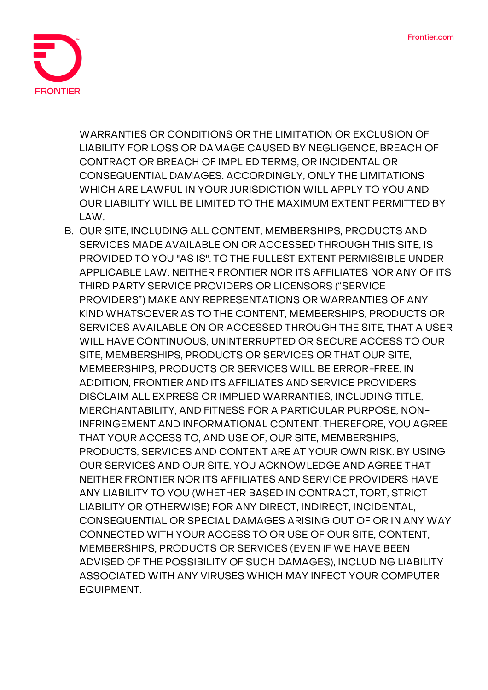

WARRANTIES OR CONDITIONS OR THE LIMITATION OR EXCLUSION OF LIABILITY FOR LOSS OR DAMAGE CAUSED BY NEGLIGENCE, BREACH OF CONTRACT OR BREACH OF IMPLIED TERMS, OR INCIDENTAL OR CONSEQUENTIAL DAMAGES. ACCORDINGLY, ONLY THE LIMITATIONS WHICH ARE LAWFUL IN YOUR JURISDICTION WILL APPLY TO YOU AND OUR LIABILITY WILL BE LIMITED TO THE MAXIMUM EXTENT PERMITTED BY LAW.

B. OUR SITE, INCLUDING ALL CONTENT, MEMBERSHIPS, PRODUCTS AND SERVICES MADE AVAILABLE ON OR ACCESSED THROUGH THIS SITE, IS PROVIDED TO YOU "AS IS". TO THE FULLEST EXTENT PERMISSIBLE UNDER APPLICABLE LAW, NEITHER FRONTIER NOR ITS AFFILIATES NOR ANY OF ITS THIRD PARTY SERVICE PROVIDERS OR LICENSORS ("SERVICE PROVIDERS") MAKE ANY REPRESENTATIONS OR WARRANTIES OF ANY KIND WHATSOEVER AS TO THE CONTENT, MEMBERSHIPS, PRODUCTS OR SERVICES AVAILABLE ON OR ACCESSED THROUGH THE SITE, THAT A USER WILL HAVE CONTINUOUS, UNINTERRUPTED OR SECURE ACCESS TO OUR SITE, MEMBERSHIPS, PRODUCTS OR SERVICES OR THAT OUR SITE, MEMBERSHIPS, PRODUCTS OR SERVICES WILL BE ERROR-FREE. IN ADDITION, FRONTIER AND ITS AFFILIATES AND SERVICE PROVIDERS DISCLAIM ALL EXPRESS OR IMPLIED WARRANTIES, INCLUDING TITLE, MERCHANTABILITY, AND FITNESS FOR A PARTICULAR PURPOSE, NON-INFRINGEMENT AND INFORMATIONAL CONTENT. THEREFORE, YOU AGREE THAT YOUR ACCESS TO, AND USE OF, OUR SITE, MEMBERSHIPS, PRODUCTS, SERVICES AND CONTENT ARE AT YOUR OWN RISK. BY USING OUR SERVICES AND OUR SITE, YOU ACKNOWLEDGE AND AGREE THAT NEITHER FRONTIER NOR ITS AFFILIATES AND SERVICE PROVIDERS HAVE ANY LIABILITY TO YOU (WHETHER BASED IN CONTRACT, TORT, STRICT LIABILITY OR OTHERWISE) FOR ANY DIRECT, INDIRECT, INCIDENTAL, CONSEQUENTIAL OR SPECIAL DAMAGES ARISING OUT OF OR IN ANY WAY CONNECTED WITH YOUR ACCESS TO OR USE OF OUR SITE, CONTENT, MEMBERSHIPS, PRODUCTS OR SERVICES (EVEN IF WE HAVE BEEN ADVISED OF THE POSSIBILITY OF SUCH DAMAGES), INCLUDING LIABILITY ASSOCIATED WITH ANY VIRUSES WHICH MAY INFECT YOUR COMPUTER EQUIPMENT.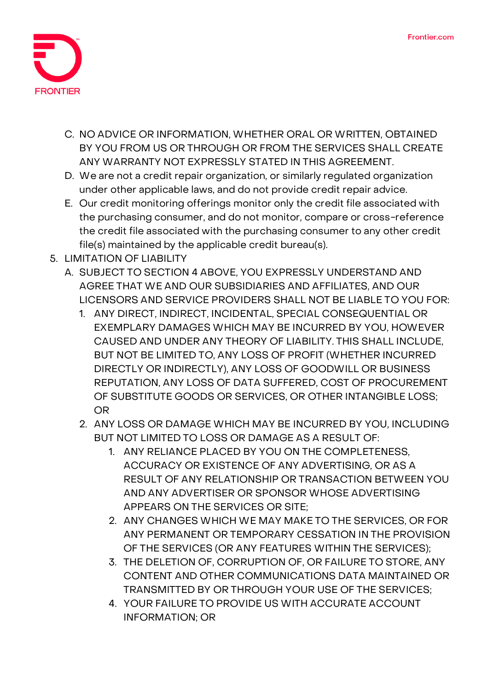

- C. NO ADVICE OR INFORMATION, WHETHER ORAL OR WRITTEN, OBTAINED BY YOU FROM US OR THROUGH OR FROM THE SERVICES SHALL CREATE ANY WARRANTY NOT EXPRESSLY STATED IN THIS AGREEMENT.
- D. We are not a credit repair organization, or similarly regulated organization under other applicable laws, and do not provide credit repair advice.
- E. Our credit monitoring offerings monitor only the credit file associated with the purchasing consumer, and do not monitor, compare or cross-reference the credit file associated with the purchasing consumer to any other credit file(s) maintained by the applicable credit bureau(s).
- **5. LIMITATION OF LIABILITY**
	- A. SUBJECT TO SECTION 4 ABOVE, YOU EXPRESSLY UNDERSTAND AND AGREE THAT WE AND OUR SUBSIDIARIES AND AFFILIATES, AND OUR LICENSORS AND SERVICE PROVIDERS SHALL NOT BE LIABLE TO YOU FOR:
		- 1. ANY DIRECT, INDIRECT, INCIDENTAL, SPECIAL CONSEQUENTIAL OR EXEMPLARY DAMAGES WHICH MAY BE INCURRED BY YOU, HOWEVER CAUSED AND UNDER ANY THEORY OF LIABILITY. THIS SHALL INCLUDE, BUT NOT BE LIMITED TO, ANY LOSS OF PROFIT (WHETHER INCURRED DIRECTLY OR INDIRECTLY), ANY LOSS OF GOODWILL OR BUSINESS REPUTATION, ANY LOSS OF DATA SUFFERED, COST OF PROCUREMENT OF SUBSTITUTE GOODS OR SERVICES, OR OTHER INTANGIBLE LOSS; OR
		- 2. ANY LOSS OR DAMAGE WHICH MAY BE INCURRED BY YOU, INCLUDING BUT NOT LIMITED TO LOSS OR DAMAGE AS A RESULT OF:
			- 1. ANY RELIANCE PLACED BY YOU ON THE COMPLETENESS, ACCURACY OR EXISTENCE OF ANY ADVERTISING, OR AS A RESULT OF ANY RELATIONSHIP OR TRANSACTION BETWEEN YOU AND ANY ADVERTISER OR SPONSOR WHOSE ADVERTISING APPEARS ON THE SERVICES OR SITE;
			- 2. ANY CHANGES WHICH WE MAY MAKE TO THE SERVICES, OR FOR ANY PERMANENT OR TEMPORARY CESSATION IN THE PROVISION OF THE SERVICES (OR ANY FEATURES WITHIN THE SERVICES);
			- 3. THE DELETION OF, CORRUPTION OF, OR FAILURE TO STORE, ANY CONTENT AND OTHER COMMUNICATIONS DATA MAINTAINED OR TRANSMITTED BY OR THROUGH YOUR USE OF THE SERVICES;
			- 4. YOUR FAILURE TO PROVIDE US WITH ACCURATE ACCOUNT INFORMATION; OR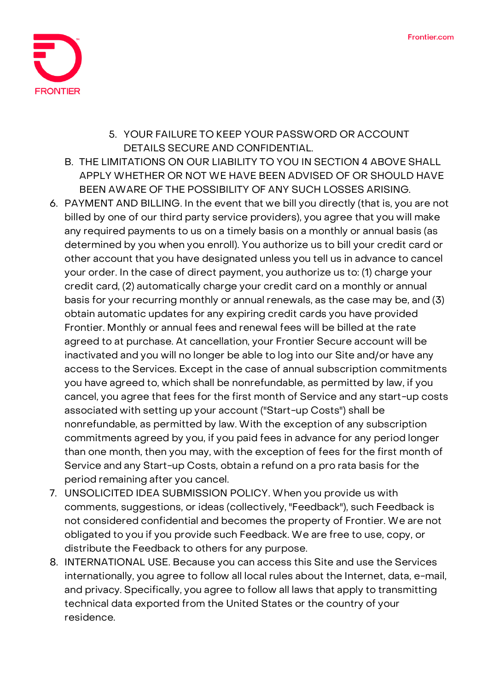

- 5. YOUR FAILURE TO KEEP YOUR PASSWORD OR ACCOUNT DETAILS SECURE AND CONFIDENTIAL.
- B. THE LIMITATIONS ON OUR LIABILITY TO YOU IN SECTION 4 ABOVE SHALL APPLY WHETHER OR NOT WE HAVE BEEN ADVISED OF OR SHOULD HAVE BEEN AWARE OF THE POSSIBILITY OF ANY SUCH LOSSES ARISING.
- 6. **PAYMENT AND BILLING.** In the event that we bill you directly (that is, you are not billed by one of our third party service providers), you agree that you will make any required payments to us on a timely basis on a monthly or annual basis (as determined by you when you enroll). You authorize us to bill your credit card or other account that you have designated unless you tell us in advance to cancel your order. In the case of direct payment, you authorize us to: (1) charge your credit card, (2) automatically charge your credit card on a monthly or annual basis for your recurring monthly or annual renewals, as the case may be, and (3) obtain automatic updates for any expiring credit cards you have provided Frontier. Monthly or annual fees and renewal fees will be billed at the rate agreed to at purchase. At cancellation, your Frontier Secure account will be inactivated and you will no longer be able to log into our Site and/or have any access to the Services. Except in the case of annual subscription commitments you have agreed to, which shall be nonrefundable, as permitted by law, if you cancel, you agree that fees for the first month of Service and any start-up costs associated with setting up your account ("Start-up Costs") shall be nonrefundable, as permitted by law. With the exception of any subscription commitments agreed by you, if you paid fees in advance for any period longer than one month, then you may, with the exception of fees for the first month of Service and any Start-up Costs, obtain a refund on a pro rata basis for the period remaining after you cancel.
- 7. **UNSOLICITED IDEA SUBMISSION POLICY.** When you provide us with comments, suggestions, or ideas (collectively, "Feedback"), such Feedback is not considered confidential and becomes the property of Frontier. We are not obligated to you if you provide such Feedback. We are free to use, copy, or distribute the Feedback to others for any purpose.
- 8. **INTERNATIONAL USE.** Because you can access this Site and use the Services internationally, you agree to follow all local rules about the Internet, data, e-mail, and privacy. Specifically, you agree to follow all laws that apply to transmitting technical data exported from the United States or the country of your residence.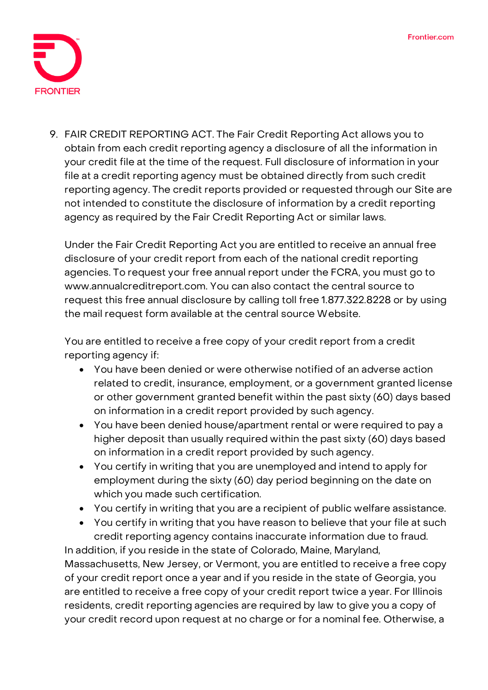

9. **FAIR CREDIT REPORTING ACT.** The Fair Credit Reporting Act allows you to obtain from each credit reporting agency a disclosure of all the information in your credit file at the time of the request. Full disclosure of information in your file at a credit reporting agency must be obtained directly from such credit reporting agency. The credit reports provided or requested through our Site are not intended to constitute the disclosure of information by a credit reporting agency as required by the Fair Credit Reporting Act or similar laws.

Under the Fair Credit Reporting Act you are entitled to receive an annual free disclosure of your credit report from each of the national credit reporting agencies. To request your free annual report under the FCRA, you must go to www.annualcreditreport.com. You can also contact the central source to request this free annual disclosure by calling toll free 1.877.322.8228 or by using the mail request form available at the central source Website.

You are entitled to receive a free copy of your credit report from a credit reporting agency if:

- You have been denied or were otherwise notified of an adverse action related to credit, insurance, employment, or a government granted license or other government granted benefit within the past sixty (60) days based on information in a credit report provided by such agency.
- You have been denied house/apartment rental or were required to pay a higher deposit than usually required within the past sixty (60) days based on information in a credit report provided by such agency.
- You certify in writing that you are unemployed and intend to apply for employment during the sixty (60) day period beginning on the date on which you made such certification.
- You certify in writing that you are a recipient of public welfare assistance.
- You certify in writing that you have reason to believe that your file at such credit reporting agency contains inaccurate information due to fraud.

In addition, if you reside in the state of Colorado, Maine, Maryland, Massachusetts, New Jersey, or Vermont, you are entitled to receive a free copy of your credit report once a year and if you reside in the state of Georgia, you are entitled to receive a free copy of your credit report twice a year. For Illinois residents, credit reporting agencies are required by law to give you a copy of your credit record upon request at no charge or for a nominal fee. Otherwise, a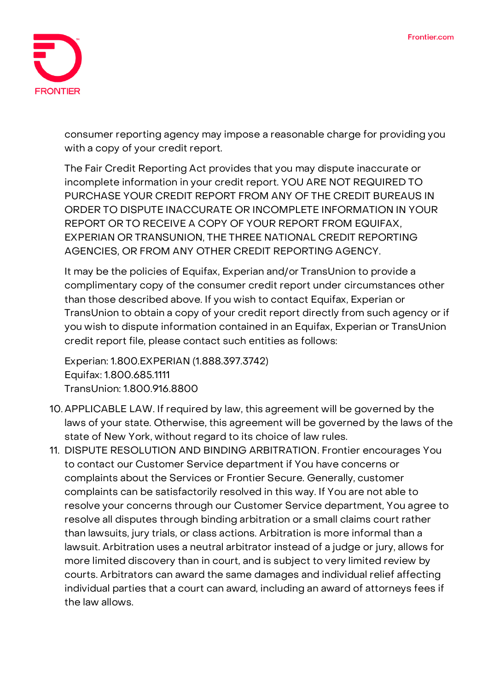

consumer reporting agency may impose a reasonable charge for providing you with a copy of your credit report.

The Fair Credit Reporting Act provides that you may dispute inaccurate or incomplete information in your credit report. YOU ARE NOT REQUIRED TO PURCHASE YOUR CREDIT REPORT FROM ANY OF THE CREDIT BUREAUS IN ORDER TO DISPUTE INACCURATE OR INCOMPLETE INFORMATION IN YOUR REPORT OR TO RECEIVE A COPY OF YOUR REPORT FROM EQUIFAX, EXPERIAN OR TRANSUNION, THE THREE NATIONAL CREDIT REPORTING AGENCIES, OR FROM ANY OTHER CREDIT REPORTING AGENCY.

It may be the policies of Equifax, Experian and/or TransUnion to provide a complimentary copy of the consumer credit report under circumstances other than those described above. If you wish to contact Equifax, Experian or TransUnion to obtain a copy of your credit report directly from such agency or if you wish to dispute information contained in an Equifax, Experian or TransUnion credit report file, please contact such entities as follows:

Experian: 1.800.EXPERIAN (1.888.397.3742) Equifax: 1.800.685.1111 TransUnion: 1.800.916.8800

- 10. **APPLICABLE LAW.** If required by law, this agreement will be governed by the laws of your state. Otherwise, this agreement will be governed by the laws of the state of New York, without regard to its choice of law rules.
- 11. **DISPUTE RESOLUTION AND BINDING ARBITRATION.** Frontier encourages You to contact our Customer Service department if You have concerns or complaints about the Services or Frontier Secure. Generally, customer complaints can be satisfactorily resolved in this way. If You are not able to resolve your concerns through our Customer Service department, You agree to resolve all disputes through binding arbitration or a small claims court rather than lawsuits, jury trials, or class actions. Arbitration is more informal than a lawsuit. Arbitration uses a neutral arbitrator instead of a judge or jury, allows for more limited discovery than in court, and is subject to very limited review by courts. Arbitrators can award the same damages and individual relief affecting individual parties that a court can award, including an award of attorneys fees if the law allows.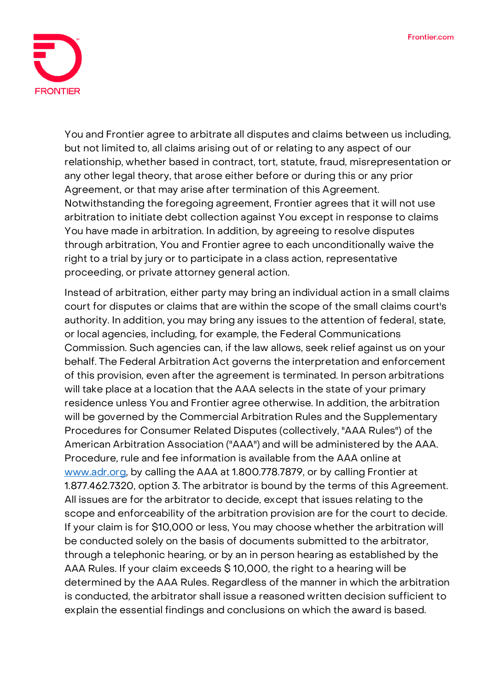

You and Frontier agree to arbitrate all disputes and claims between us including, but not limited to, all claims arising out of or relating to any aspect of our relationship, whether based in contract, tort, statute, fraud, misrepresentation or any other legal theory, that arose either before or during this or any prior Agreement, or that may arise after termination of this Agreement. Notwithstanding the foregoing agreement, Frontier agrees that it will not use arbitration to initiate debt collection against You except in response to claims You have made in arbitration. In addition, by agreeing to resolve disputes through arbitration, **You and Frontier agree to each unconditionally waive the right to a trial by jury or to participate in a class action, representative proceeding, or private attorney general action.**

Instead of arbitration, either party may bring an individual action in a small claims court for disputes or claims that are within the scope of the small claims court's authority. In addition, you may bring any issues to the attention of federal, state, or local agencies, including, for example, the Federal Communications Commission. Such agencies can, if the law allows, seek relief against us on your behalf. The Federal Arbitration Act governs the interpretation and enforcement of this provision, even after the agreement is terminated. In person arbitrations will take place at a location that the AAA selects in the state of your primary residence unless You and Frontier agree otherwise. In addition, the arbitration will be governed by the Commercial Arbitration Rules and the Supplementary Procedures for Consumer Related Disputes (collectively, "AAA Rules") of the American Arbitration Association ("AAA") and will be administered by the AAA. Procedure, rule and fee information is available from the AAA online at [www.adr.org,](http://www.adr.org/) by calling the AAA at 1.800.778.7879, or by calling Frontier at 1.877.462.7320, option 3. The arbitrator is bound by the terms of this Agreement. All issues are for the arbitrator to decide, except that issues relating to the scope and enforceability of the arbitration provision are for the court to decide. If your claim is for \$10,000 or less, You may choose whether the arbitration will be conducted solely on the basis of documents submitted to the arbitrator, through a telephonic hearing, or by an in person hearing as established by the AAA Rules. If your claim exceeds \$ 10,000, the right to a hearing will be determined by the AAA Rules. Regardless of the manner in which the arbitration is conducted, the arbitrator shall issue a reasoned written decision sufficient to explain the essential findings and conclusions on which the award is based.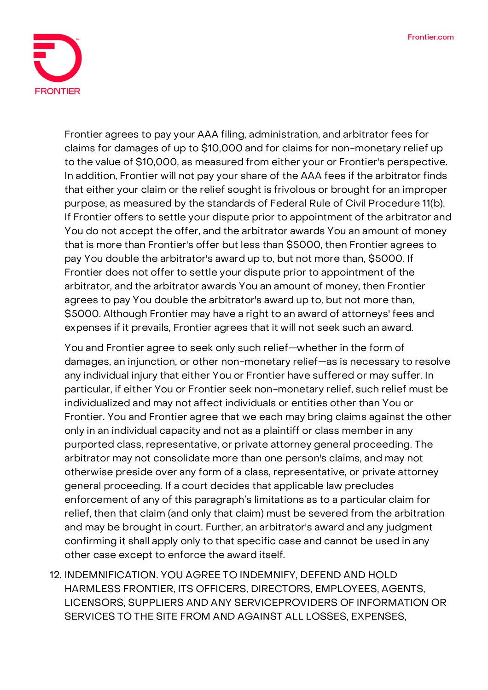

Frontier agrees to pay your AAA filing, administration, and arbitrator fees for claims for damages of up to \$10,000 and for claims for non-monetary relief up to the value of \$10,000, as measured from either your or Frontier's perspective. In addition, Frontier will not pay your share of the AAA fees if the arbitrator finds that either your claim or the relief sought is frivolous or brought for an improper purpose, as measured by the standards of Federal Rule of Civil Procedure 11(b). If Frontier offers to settle your dispute prior to appointment of the arbitrator and You do not accept the offer, and the arbitrator awards You an amount of money that is more than Frontier's offer but less than \$5000, then Frontier agrees to pay You double the arbitrator's award up to, but not more than, \$5000. If Frontier does not offer to settle your dispute prior to appointment of the arbitrator, and the arbitrator awards You an amount of money, then Frontier agrees to pay You double the arbitrator's award up to, but not more than, \$5000. Although Frontier may have a right to an award of attorneys' fees and expenses if it prevails, Frontier agrees that it will not seek such an award.

You and Frontier agree to seek only such relief—whether in the form of damages, an injunction, or other non-monetary relief—as is necessary to resolve any individual injury that either You or Frontier have suffered or may suffer. In particular, if either You or Frontier seek non-monetary relief, such relief must be individualized and may not affect individuals or entities other than You or Frontier. **You and Frontier agree that we each may bring claims against the other only in an individual capacity and not as a plaintiff or class member in any purported class, representative, or private attorney general proceeding.** The arbitrator may not consolidate more than one person's claims, and may not otherwise preside over any form of a class, representative, or private attorney general proceeding. **If a court decides that applicable law precludes enforcement of any of this paragraph's limitations as to a particular claim for relief, then that claim (and only that claim) must be severed from the arbitration and may be brought in court.** Further, an arbitrator's award and any judgment confirming it shall apply only to that specific case and cannot be used in any other case except to enforce the award itself.

12. **INDEMNIFICATION.** YOU AGREE TO INDEMNIFY, DEFEND AND HOLD HARMLESS FRONTIER, ITS OFFICERS, DIRECTORS, EMPLOYEES, AGENTS, LICENSORS, SUPPLIERS AND ANY SERVICEPROVIDERS OF INFORMATION OR SERVICES TO THE SITE FROM AND AGAINST ALL LOSSES, EXPENSES,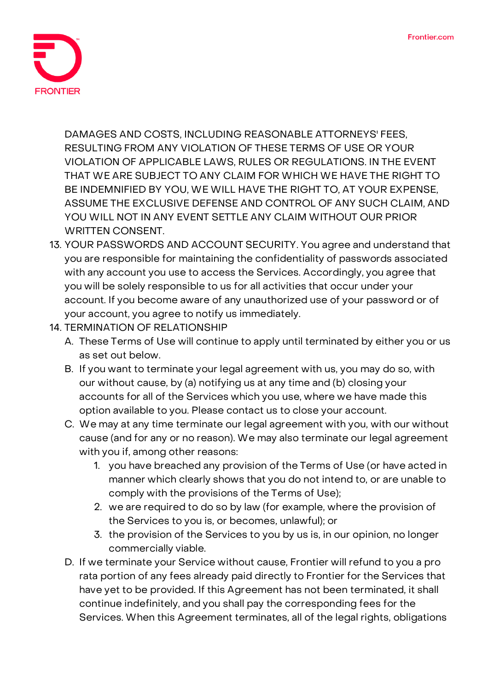

DAMAGES AND COSTS, INCLUDING REASONABLE ATTORNEYS' FEES, RESULTING FROM ANY VIOLATION OF THESE TERMS OF USE OR YOUR VIOLATION OF APPLICABLE LAWS, RULES OR REGULATIONS. IN THE EVENT THAT WE ARE SUBJECT TO ANY CLAIM FOR WHICH WE HAVE THE RIGHT TO BE INDEMNIFIED BY YOU, WE WILL HAVE THE RIGHT TO, AT YOUR EXPENSE, ASSUME THE EXCLUSIVE DEFENSE AND CONTROL OF ANY SUCH CLAIM, AND YOU WILL NOT IN ANY EVENT SETTLE ANY CLAIM WITHOUT OUR PRIOR WRITTEN CONSENT.

- 13. **YOUR PASSWORDS AND ACCOUNT SECURITY.** You agree and understand that you are responsible for maintaining the confidentiality of passwords associated with any account you use to access the Services. Accordingly, you agree that you will be solely responsible to us for all activities that occur under your account. If you become aware of any unauthorized use of your password or of your account, you agree to notify us immediately.
- **14. TERMINATION OF RELATIONSHIP**
	- A. These Terms of Use will continue to apply until terminated by either you or us as set out below.
	- B. If you want to terminate your legal agreement with us, you may do so, with our without cause, by (a) notifying us at any time and (b) closing your accounts for all of the Services which you use, where we have made this option available to you. Please contact us to close your account.
	- C. We may at any time terminate our legal agreement with you, with our without cause (and for any or no reason). We may also terminate our legal agreement with you if, among other reasons:
		- 1. you have breached any provision of the Terms of Use (or have acted in manner which clearly shows that you do not intend to, or are unable to comply with the provisions of the Terms of Use);
		- 2. we are required to do so by law (for example, where the provision of the Services to you is, or becomes, unlawful); or
		- 3. the provision of the Services to you by us is, in our opinion, no longer commercially viable.
	- D. If we terminate your Service without cause, Frontier will refund to you a pro rata portion of any fees already paid directly to Frontier for the Services that have yet to be provided. If this Agreement has not been terminated, it shall continue indefinitely, and you shall pay the corresponding fees for the Services. When this Agreement terminates, all of the legal rights, obligations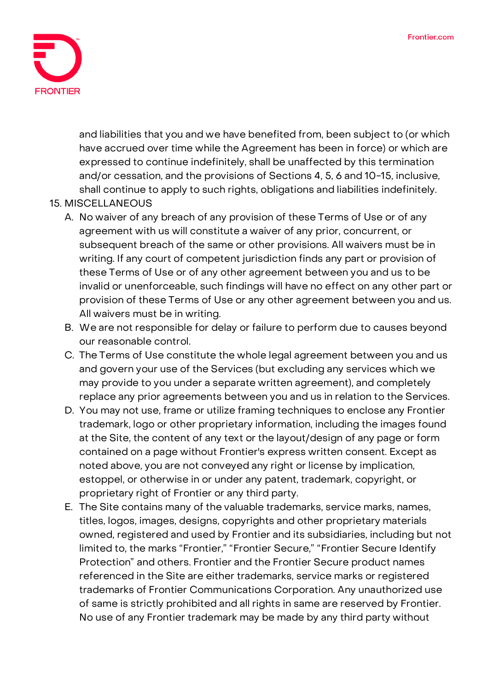

and liabilities that you and we have benefited from, been subject to (or which have accrued over time while the Agreement has been in force) or which are expressed to continue indefinitely, shall be unaffected by this termination and/or cessation, and the provisions of Sections 4, 5, 6 and 10-15, inclusive, shall continue to apply to such rights, obligations and liabilities indefinitely.

## **15. MISCELLANEOUS**

- A. No waiver of any breach of any provision of these Terms of Use or of any agreement with us will constitute a waiver of any prior, concurrent, or subsequent breach of the same or other provisions. All waivers must be in writing. If any court of competent jurisdiction finds any part or provision of these Terms of Use or of any other agreement between you and us to be invalid or unenforceable, such findings will have no effect on any other part or provision of these Terms of Use or any other agreement between you and us. All waivers must be in writing.
- B. We are not responsible for delay or failure to perform due to causes beyond our reasonable control.
- C. The Terms of Use constitute the whole legal agreement between you and us and govern your use of the Services (but excluding any services which we may provide to you under a separate written agreement), and completely replace any prior agreements between you and us in relation to the Services.
- D. You may not use, frame or utilize framing techniques to enclose any Frontier trademark, logo or other proprietary information, including the images found at the Site, the content of any text or the layout/design of any page or form contained on a page without Frontier's express written consent. Except as noted above, you are not conveyed any right or license by implication, estoppel, or otherwise in or under any patent, trademark, copyright, or proprietary right of Frontier or any third party.
- E. The Site contains many of the valuable trademarks, service marks, names, titles, logos, images, designs, copyrights and other proprietary materials owned, registered and used by Frontier and its subsidiaries, including but not limited to, the marks "Frontier," "Frontier Secure," "Frontier Secure Identify Protection" and others. Frontier and the Frontier Secure product names referenced in the Site are either trademarks, service marks or registered trademarks of Frontier Communications Corporation. Any unauthorized use of same is strictly prohibited and all rights in same are reserved by Frontier. No use of any Frontier trademark may be made by any third party without